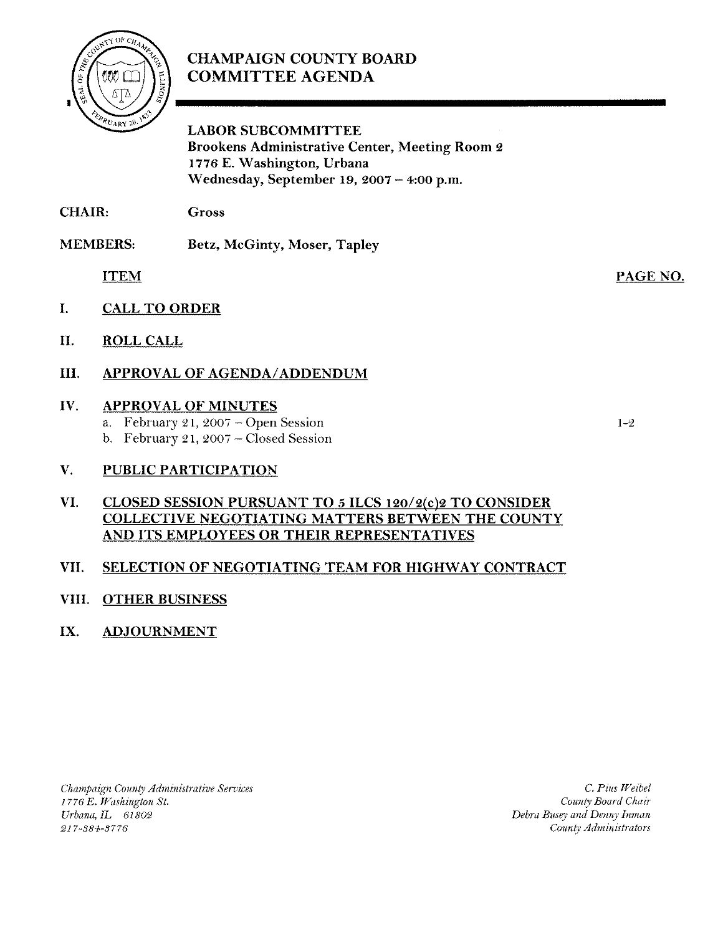# **CHAMPAIGN COUNTY BOARD** COMMITTEE AGENDA



LABOR SUBCOMMITTEE Brookens Administrative Center, Meeting Room 2 1776 E. Washington, Urbana Wednesday, September 19, 2007 - 4:00 p.m.

CHAIR: Gross

MEMBERS: Betz, McGinty, Moser, Tapley

ITEM

- I. CALL TO ORDER
- II. ROLL CALL
- III. APPROVAL OF AGENDA/ADDENDUM

# IV. APPROVAL OF MINUTES

- a. February 21, 2007 Open Session
- b. February 21, 2007 Closed Session

# V. PUBLIC PARTICIPATION

## VI. CLOSED SESSION PURSUANT TO 5 ILCS 120/2(c)2 TO CONSIDER COLLECTIVE NEGOTIATING MATTERS BETWEEN THE COUNTY AND ITS EMPLOYEES OR THEIR REPRESENTATIVES

# VII. SELECTION OF NEGOTIATING TEAM FOR HIGHWAY CONTRACT

# VIII. OTHER BUSINESS

# IX. ADJOURNMENT

*Champaign County Administrative Services* 1776 E. Washington St. *Urbana,IL 61802* 217-384-3776

C. Pius *Weibel County Board Chair Debra Busey and Denny Inman County Administrators*

1-2

PAGE NO.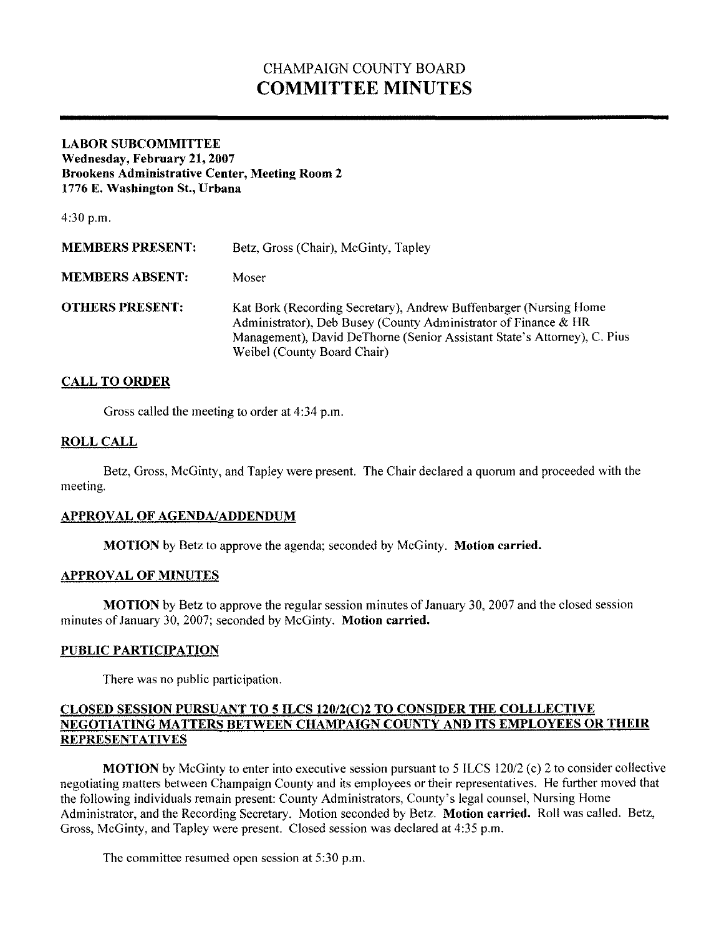# CHAMPAIGN COUNTY BOARD **COMMITTEE MINUTES**

### **LABOR SUBCOMMITTEE Wednesday, Febrnary 21, 2007 Brookens Administrative Center, Meeting Room 2 1776 E. Washington St., Urbana**

4:30 p.m.

| <b>MEMBERS PRESENT:</b> | Betz, Gross (Chair), McGinty, Tapley                                                                                                                                                                                                            |
|-------------------------|-------------------------------------------------------------------------------------------------------------------------------------------------------------------------------------------------------------------------------------------------|
| <b>MEMBERS ABSENT:</b>  | Moser                                                                                                                                                                                                                                           |
| <b>OTHERS PRESENT:</b>  | Kat Bork (Recording Secretary), Andrew Buffenbarger (Nursing Home<br>Administrator), Deb Busey (County Administrator of Finance & HR<br>Management), David DeThorne (Senior Assistant State's Attorney), C. Pius<br>Weibel (County Board Chair) |

## **CALL TO ORDER**

Gross called the meeting to order at 4:34 p.m.

### **ROLLCALL**

Betz, Gross, McGinty, and Tapley were present. The Chair declared a quorum and proceeded with the meeting.

### **APPROVAL OF AGENDA/ADDENDUM**

**MOTION** by Betz to approve the agenda; seconded by McGinty. **Motion carried.**

### **APPROVAL OF MINUTES**

**MOTION** by Betz to approve the regular session minutes of January 30, 2007 and the closed session minutes of January 30, 2007; seconded by McGinty. **Motion carried.** 

### **PUBLIC PARTICIPATION**

There was no public participation.

### **CLOSED SESSION PURSUANT TO 5 ILCS 120/2(02 TO CONSIDER THE COLLLECTIVE NEGOTIATING MATTERS BETWEEN CHAMPAIGN COUNTY AND ITS EMPLOYEES OR THEIR REPRESENTATIVES**

**MOTION** by McGinty to enter into executive session pursuant to 5 ILCS 120/2 (c) 2 to consider collective negotiating matters between Champaign County and its employees or their representatives. He further moved that the following individuals remain present: County Administrators, County's legal counsel, Nursing Home Administrator, and the Recording Secretary. Motion seconded by Betz. **Motion carried.** Roll was called. Betz, Gross, McGinty, and Tapley were present. Closed session was declared at 4:35 p.m.

The committee resumed open session at 5:30 p.m.